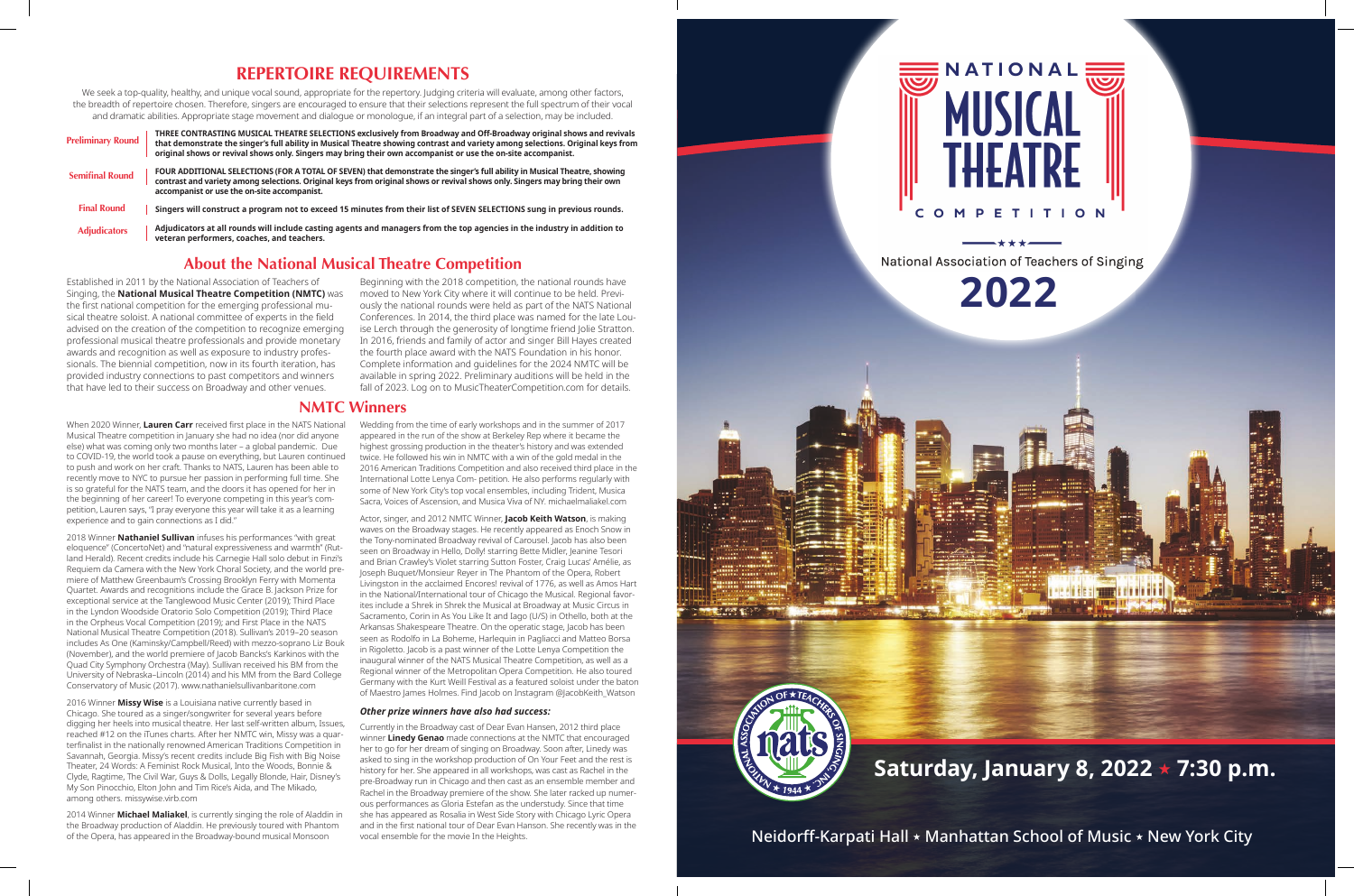#### **REPERTOIRE REQUIREMENTS**

We seek a top-quality, healthy, and unique vocal sound, appropriate for the repertory. Judging criteria will evaluate, among other factors, the breadth of repertoire chosen. Therefore, singers are encouraged to ensure that their selections represent the full spectrum of their vocal and dramatic abilities. Appropriate stage movement and dialogue or monologue, if an integral part of a selection, may be included.

#### **About the National Musical Theatre Competition**

Established in 2011 by the National Association of Teachers of Singing, the **National Musical Theatre Competition (NMTC)** was the first national competition for the emerging professional musical theatre soloist. A national committee of experts in the field advised on the creation of the competition to recognize emerging professional musical theatre professionals and provide monetary awards and recognition as well as exposure to industry professionals. The biennial competition, now in its fourth iteration, has provided industry connections to past competitors and winners that have led to their success on Broadway and other venues.

Beginning with the 2018 competition, the national rounds have moved to New York City where it will continue to be held. Previously the national rounds were held as part of the NATS National Conferences. In 2014, the third place was named for the late Louise Lerch through the generosity of longtime friend Jolie Stratton. In 2016, friends and family of actor and singer Bill Hayes created the fourth place award with the NATS Foundation in his honor. Complete information and guidelines for the 2024 NMTC will be available in spring 2022. Preliminary auditions will be held in the fall of 2023. Log on to MusicTheaterCompetition.com for details.

| <b>Preliminary Round</b> | THREE CONTRASTING MUSICAL THEATRE SELECTIONS exclusively from Broadway and Off-Broadway original shows and revivals<br>that demonstrate the singer's full ability in Musical Theatre showing contrast and variety among selections. Original keys from<br>original shows or revival shows only. Singers may bring their own accompanist or use the on-site accompanist. |
|--------------------------|-------------------------------------------------------------------------------------------------------------------------------------------------------------------------------------------------------------------------------------------------------------------------------------------------------------------------------------------------------------------------|
| <b>Semifinal Round</b>   | FOUR ADDITIONAL SELECTIONS (FOR A TOTAL OF SEVEN) that demonstrate the singer's full ability in Musical Theatre, showing<br>contrast and variety among selections. Original keys from original shows or revival shows only. Singers may bring their own<br>accompanist or use the on-site accompanist.                                                                  |
| <b>Final Round</b>       | Singers will construct a program not to exceed 15 minutes from their list of SEVEN SELECTIONS sung in previous rounds.                                                                                                                                                                                                                                                  |
| <b>Adjudicators</b>      | Adjudicators at all rounds will include casting agents and managers from the top agencies in the industry in addition to<br>veteran performers, coaches, and teachers.                                                                                                                                                                                                  |

#### **NMTC Winners**

Actor, singer, and 2012 NMTC Winner, **Jacob Keith Watson**, is making waves on the Broadway stages. He recently appeared as Enoch Snow in the Tony-nominated Broadway revival of Carousel. Jacob has also been seen on Broadway in Hello, Dolly! starring Bette Midler, Jeanine Tesori and Brian Crawley's Violet starring Sutton Foster, Craig Lucas' Amélie, as Joseph Buquet/Monsieur Reyer in The Phantom of the Opera, Robert Livingston in the acclaimed Encores! revival of 1776, as well as Amos Hart in the National/International tour of Chicago the Musical. Regional favorites include a Shrek in Shrek the Musical at Broadway at Music Circus in Sacramento, Corin in As You Like It and Iago (U/S) in Othello, both at the Arkansas Shakespeare Theatre. On the operatic stage, Jacob has been seen as Rodolfo in La Boheme, Harlequin in Pagliacci and Matteo Borsa in Rigoletto. Jacob is a past winner of the Lotte Lenya Competition the inaugural winner of the NATS Musical Theatre Competition, as well as a Regional winner of the Metropolitan Opera Competition. He also toured Germany with the Kurt Weill Festival as a featured soloist under the baton of Maestro James Holmes. Find Jacob on Instagram @JacobKeith\_Watson

When 2020 Winner, **Lauren Carr** received first place in the NATS National Musical Theatre competition in January she had no idea (nor did anyone else) what was coming only two months later – a global pandemic. Due to COVID-19, the world took a pause on everything, but Lauren continued to push and work on her craft. Thanks to NATS, Lauren has been able to recently move to NYC to pursue her passion in performing full time. She is so grateful for the NATS team, and the doors it has opened for her in the beginning of her career! To everyone competing in this year's competition, Lauren says, "I pray everyone this year will take it as a learning experience and to gain connections as I did."

2018 Winner **Nathaniel Sullivan** infuses his performances "with great eloquence" (ConcertoNet) and "natural expressiveness and warmth" (Rutland Herald). Recent credits include his Carnegie Hall solo debut in Finzi's Requiem da Camera with the New York Choral Society, and the world premiere of Matthew Greenbaum's Crossing Brooklyn Ferry with Momenta Quartet. Awards and recognitions include the Grace B. Jackson Prize for exceptional service at the Tanglewood Music Center (2019); Third Place in the Lyndon Woodside Oratorio Solo Competition (2019); Third Place in the Orpheus Vocal Competition (2019); and First Place in the NATS National Musical Theatre Competition (2018). Sullivan's 2019–20 season includes As One (Kaminsky/Campbell/Reed) with mezzo-soprano Liz Bouk (November), and the world premiere of Jacob Bancks's Karkinos with the Quad City Symphony Orchestra (May). Sullivan received his BM from the University of Nebraska–Lincoln (2014) and his MM from the Bard College Conservatory of Music (2017). www.nathanielsullivanbaritone.com

2016 Winner **Missy Wise** is a Louisiana native currently based in Chicago. She toured as a singer/songwriter for several years before digging her heels into musical theatre. Her last self-written album, Issues, reached #12 on the iTunes charts. After her NMTC win, Missy was a quarterfinalist in the nationally renowned American Traditions Competition in Savannah, Georgia. Missy's recent credits include Big Fish with Big Noise Theater, 24 Words: A Feminist Rock Musical, Into the Woods, Bonnie & Clyde, Ragtime, The Civil War, Guys & Dolls, Legally Blonde, Hair, Disney's My Son Pinocchio, Elton John and Tim Rice's Aida, and The Mikado, among others. missywise.virb.com

2014 Winner **Michael Maliakel**, is currently singing the role of Aladdin in the Broadway production of Aladdin. He previously toured with Phantom of the Opera, has appeared in the Broadway-bound musical Monsoon

Wedding from the time of early workshops and in the summer of 2017 appeared in the run of the show at Berkeley Rep where it became the highest grossing production in the theater's history and was extended twice. He followed his win in NMTC with a win of the gold medal in the 2016 American Traditions Competition and also received third place in the International Lotte Lenya Com- petition. He also performs regularly with some of New York City's top vocal ensembles, including Trident, Musica Sacra, Voices of Ascension, and Musica Viva of NY. michaelmaliakel.com

#### *Other prize winners have also had success:*

Currently in the Broadway cast of Dear Evan Hansen, 2012 third place winner **Linedy Genao** made connections at the NMTC that encouraged her to go for her dream of singing on Broadway. Soon after, Linedy was asked to sing in the workshop production of On Your Feet and the rest is history for her. She appeared in all workshops, was cast as Rachel in the pre-Broadway run in Chicago and then cast as an ensemble member and Rachel in the Broadway premiere of the show. She later racked up numerous performances as Gloria Estefan as the understudy. Since that time she has appeared as Rosalia in West Side Story with Chicago Lyric Opera and in the first national tour of Dear Evan Hanson. She recently was in the vocal ensemble for the movie In the Heights.



# NATIONAL **ETITION**

National Association of Teachers of Singing

**2022**

**Saturday, January 8, 2022** ★ **7:30 p.m.**

Neidorff-Karpati Hall ★ Manhattan School of Music ★ New York City